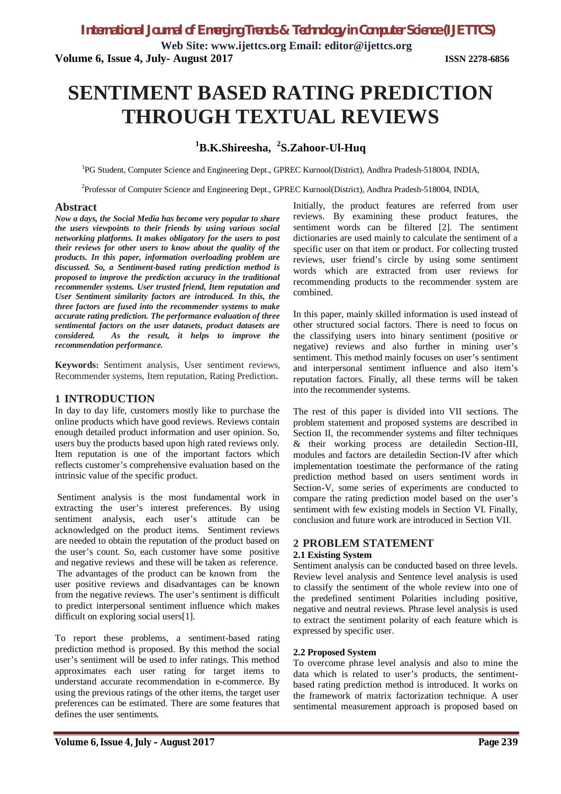**Web Site: www.ijettcs.org Email: editor@ijettcs.org Volume 6, Issue 4, July- August 2017 ISSN 2278-6856**

# **SENTIMENT BASED RATING PREDICTION THROUGH TEXTUAL REVIEWS**

# **<sup>1</sup>B.K.Shireesha, <sup>2</sup> S.Zahoor-Ul-Huq**

<sup>1</sup>PG Student, Computer Science and Engineering Dept., GPREC Kurnool(District), Andhra Pradesh-518004, INDIA,

<sup>2</sup>Professor of Computer Science and Engineering Dept., GPREC Kurnool(District), Andhra Pradesh-518004, INDIA,

### **Abstract**

*Now a days, the Social Media has become very popular to share the users viewpoints to their friends by using various social networking platforms. It makes obligatory for the users to post their reviews for other users to know about the quality of the products. In this paper, information overloading problem are discussed. So, a Sentiment-based rating prediction method is proposed to improve the prediction accuracy in the traditional recommender systems. User trusted friend, Item reputation and User Sentiment similarity factors are introduced. In this, the three factors are fused into the recommender systems to make accurate rating prediction. The performance evaluation of three sentimental factors on the user datasets, product datasets are considered. As the result, it helps to improve the recommendation performance.*

**Keywords:** Sentiment analysis, User sentiment reviews, Recommender systems, Item reputation, Rating Prediction**.**

### **1 INTRODUCTION**

In day to day life, customers mostly like to purchase the online products which have good reviews. Reviews contain enough detailed product information and user opinion. So, users buy the products based upon high rated reviews only. Item reputation is one of the important factors which reflects customer's comprehensive evaluation based on the intrinsic value of the specific product.

Sentiment analysis is the most fundamental work in extracting the user's interest preferences. By using sentiment analysis, each user's attitude can be acknowledged on the product items. Sentiment reviews are needed to obtain the reputation of the product based on the user's count. So, each customer have some positive and negative reviews and these will be taken as reference. The advantages of the product can be known from the user positive reviews and disadvantages can be known from the negative reviews. The user's sentiment is difficult to predict interpersonal sentiment influence which makes difficult on exploring social users[1].

To report these problems, a sentiment-based rating prediction method is proposed. By this method the social user's sentiment will be used to infer ratings. This method approximates each user rating for target items to understand accurate recommendation in e-commerce. By using the previous ratings of the other items, the target user preferences can be estimated. There are some features that defines the user sentiments.

Initially, the product features are referred from user reviews. By examining these product features, the sentiment words can be filtered [2]. The sentiment dictionaries are used mainly to calculate the sentiment of a specific user on that item or product. For collecting trusted reviews, user friend's circle by using some sentiment words which are extracted from user reviews for recommending products to the recommender system are combined.

In this paper, mainly skilled information is used instead of other structured social factors. There is need to focus on the classifying users into binary sentiment (positive or negative) reviews and also further in mining user's sentiment. This method mainly focuses on user's sentiment and interpersonal sentiment influence and also item's reputation factors. Finally, all these terms will be taken into the recommender systems.

The rest of this paper is divided into VII sections. The problem statement and proposed systems are described in Section II, the recommender systems and filter techniques & their working process are detailedin Section-III, modules and factors are detailedin Section-IV after which implementation toestimate the performance of the rating prediction method based on users sentiment words in Section-V, some series of experiments are conducted to compare the rating prediction model based on the user's sentiment with few existing models in Section VI. Finally, conclusion and future work are introduced in Section VII.

### **2 PROBLEM STATEMENT 2.1 Existing System**

Sentiment analysis can be conducted based on three levels. Review level analysis and Sentence level analysis is used to classify the sentiment of the whole review into one of the predefined sentiment Polarities including positive, negative and neutral reviews. Phrase level analysis is used to extract the sentiment polarity of each feature which is expressed by specific user.

### **2.2 Proposed System**

To overcome phrase level analysis and also to mine the data which is related to user's products, the sentimentbased rating prediction method is introduced. It works on the framework of matrix factorization technique. A user sentimental measurement approach is proposed based on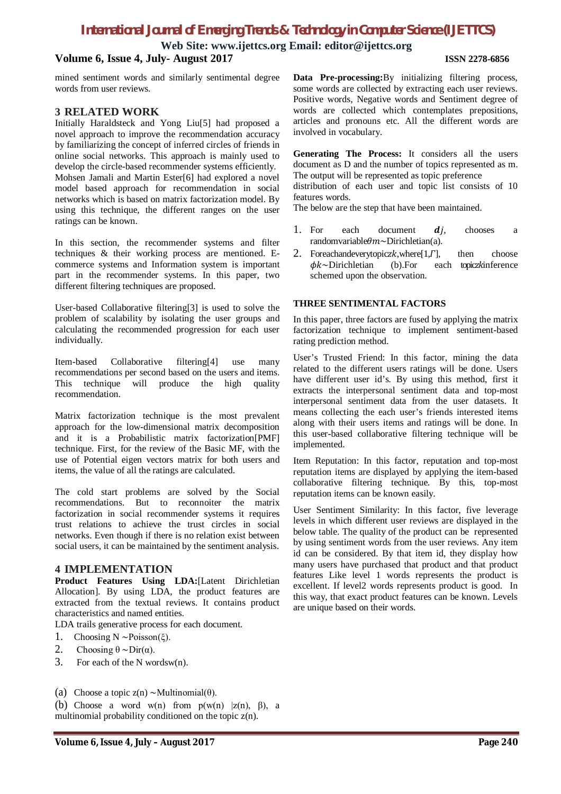# *International Journal of Emerging Trends & Technology in Computer Science (IJETTCS)*

**Web Site: www.ijettcs.org Email: editor@ijettcs.org**

### **Volume 6, Issue 4, July- August 2017 ISSN 2278-6856**

mined sentiment words and similarly sentimental degree words from user reviews.

### **3 RELATED WORK**

Initially Haraldsteck and Yong Liu[5] had proposed a novel approach to improve the recommendation accuracy by familiarizing the concept of inferred circles of friends in online social networks. This approach is mainly used to develop the circle-based recommender systems efficiently. Mohsen Jamali and Martin Ester[6] had explored a novel model based approach for recommendation in social networks which is based on matrix factorization model. By using this technique, the different ranges on the user ratings can be known.

In this section, the recommender systems and filter techniques & their working process are mentioned. Ecommerce systems and Information system is important part in the recommender systems. In this paper, two different filtering techniques are proposed.

User-based Collaborative filtering[3] is used to solve the problem of scalability by isolating the user groups and calculating the recommended progression for each user individually.

Item-based Collaborative filtering[4] use many recommendations per second based on the users and items. This technique will produce the high quality recommendation.

Matrix factorization technique is the most prevalent approach for the low-dimensional matrix decomposition and it is a Probabilistic matrix factorization[PMF] technique. First, for the review of the Basic MF, with the use of Potential eigen vectors matrix for both users and items, the value of all the ratings are calculated.

The cold start problems are solved by the Social recommendations. But to reconnoiter the matrix factorization in social recommender systems it requires trust relations to achieve the trust circles in social networks. Even though if there is no relation exist between social users, it can be maintained by the sentiment analysis.

### **4 IMPLEMENTATION**

**Product Features Using LDA:**[Latent Dirichletian Allocation]. By using LDA, the product features are extracted from the textual reviews. It contains product characteristics and named entities.

LDA trails generative process for each document.

- 1. Choosing N ∼Poisson(ξ).
- 2. Choosing  $θ \sim Dir(α)$ .
- 3. For each of the N wordsw(n).
- (a) Choose a topic z(n) ∼Multinomial( $\theta$ ).

(b) Choose a word w(n) from  $p(w(n) |z(n), \beta)$ , a multinomial probability conditioned on the topic z(n).

**Data Pre-processing:**By initializing filtering process, some words are collected by extracting each user reviews. Positive words, Negative words and Sentiment degree of words are collected which contemplates prepositions, articles and pronouns etc. All the different words are involved in vocabulary.

**Generating The Process:** It considers all the users document as D and the number of topics represented as m. The output will be represented as topic preference

distribution of each user and topic list consists of 10 features words.

The below are the step that have been maintained.

- 1. For each document  $di$ , chooses a randomvariableθm∼Dirichletian(a).
- 2. Foreachandeverytopicz $k$ , where [1, $\Gamma$ ], then choose  $\phi k$ ~Dirichletian (b). For each topicz $k$ inference (b).For each topiczkinference schemed upon the observation.

### **THREE SENTIMENTAL FACTORS**

In this paper, three factors are fused by applying the matrix factorization technique to implement sentiment-based rating prediction method.

User's Trusted Friend: In this factor, mining the data related to the different users ratings will be done. Users have different user id's. By using this method, first it extracts the interpersonal sentiment data and top-most interpersonal sentiment data from the user datasets. It means collecting the each user's friends interested items along with their users items and ratings will be done. In this user-based collaborative filtering technique will be implemented.

Item Reputation: In this factor, reputation and top-most reputation items are displayed by applying the item-based collaborative filtering technique. By this, top-most reputation items can be known easily.

User Sentiment Similarity: In this factor, five leverage levels in which different user reviews are displayed in the below table. The quality of the product can be represented by using sentiment words from the user reviews. Any item id can be considered. By that item id, they display how many users have purchased that product and that product features Like level 1 words represents the product is excellent. If level2 words represents product is good. In this way, that exact product features can be known. Levels are unique based on their words.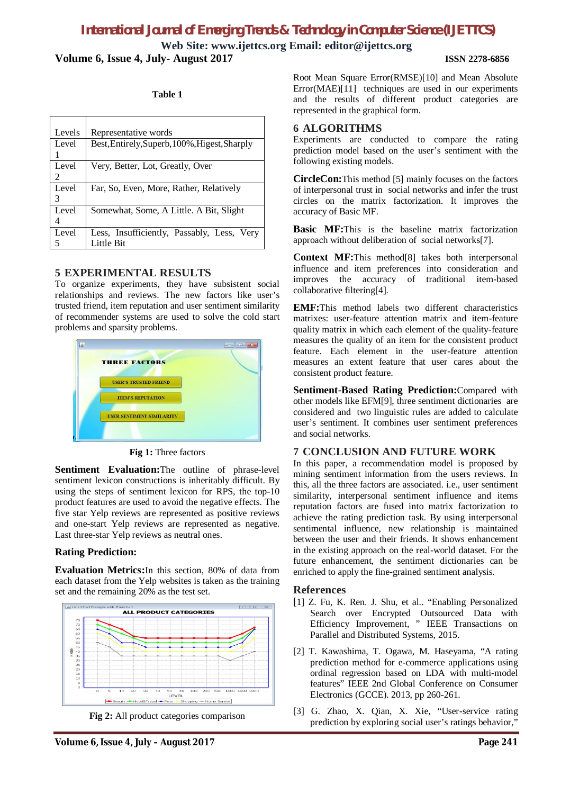# *International Journal of Emerging Trends & Technology in Computer Science (IJETTCS)*

**Web Site: www.ijettcs.org Email: editor@ijettcs.org Volume 6, Issue 4, July- August 2017 ISSN 2278-6856**

### **Table 1**

| Levels | Representative words                          |
|--------|-----------------------------------------------|
|        |                                               |
| Level  | Best, Entirely, Superb, 100%, Higest, Sharply |
|        |                                               |
| Level  | Very, Better, Lot, Greatly, Over              |
| 2      |                                               |
| Level  | Far, So, Even, More, Rather, Relatively       |
| 3      |                                               |
| Level  | Somewhat, Some, A Little. A Bit, Slight       |
|        |                                               |
| Level  | Less, Insufficiently, Passably, Less, Very    |
|        | Little Bit                                    |

### **5 EXPERIMENTAL RESULTS**

To organize experiments, they have subsistent social relationships and reviews. The new factors like user's trusted friend, item reputation and user sentiment similarity of recommender systems are used to solve the cold start problems and sparsity problems.



### **Fig 1:** Three factors

Sentiment Evaluation: The outline of phrase-level sentiment lexicon constructions is inheritably difficult. By using the steps of sentiment lexicon for RPS, the top-10 product features are used to avoid the negative effects. The five star Yelp reviews are represented as positive reviews and one-start Yelp reviews are represented as negative. Last three-star Yelp reviews as neutral ones.

### **Rating Prediction:**

**Evaluation Metrics:**In this section, 80% of data from each dataset from the Yelp websites is taken as the training set and the remaining 20% as the test set.



**Fig 2:** All product categories comparison

### **6 ALGORITHMS**

Experiments are conducted to compare the rating prediction model based on the user's sentiment with the following existing models.

**CircleCon:**This method [5] mainly focuses on the factors of interpersonal trust in social networks and infer the trust circles on the matrix factorization. It improves the accuracy of Basic MF.

**Basic MF:**This is the baseline matrix factorization approach without deliberation of social networks[7].

**Context MF:**This method[8] takes both interpersonal influence and item preferences into consideration and improves the accuracy of traditional item-based collaborative filtering[4].

**EMF:**This method labels two different characteristics matrixes: user-feature attention matrix and item-feature quality matrix in which each element of the quality-feature measures the quality of an item for the consistent product feature. Each element in the user-feature attention measures an extent feature that user cares about the consistent product feature.

**Sentiment-Based Rating Prediction:**Compared with other models like EFM[9], three sentiment dictionaries are considered and two linguistic rules are added to calculate user's sentiment. It combines user sentiment preferences and social networks.

### **7 CONCLUSION AND FUTURE WORK**

In this paper, a recommendation model is proposed by mining sentiment information from the users reviews. In this, all the three factors are associated. i.e., user sentiment similarity, interpersonal sentiment influence and items reputation factors are fused into matrix factorization to achieve the rating prediction task. By using interpersonal sentimental influence, new relationship is maintained between the user and their friends. It shows enhancement in the existing approach on the real-world dataset. For the future enhancement, the sentiment dictionaries can be enriched to apply the fine-grained sentiment analysis.

### **References**

- [1] Z. Fu, K. Ren. J. Shu, et al.. "Enabling Personalized Search over Encrypted Outsourced Data with Efficiency Improvement, " IEEE Transactions on Parallel and Distributed Systems, 2015.
- [2] T. Kawashima, T. Ogawa, M. Haseyama, "A rating prediction method for e-commerce applications using ordinal regression based on LDA with multi-model features" IEEE 2nd Global Conference on Consumer Electronics (GCCE). 2013, pp 260-261.
- [3] G. Zhao, X. Qian, X. Xie, "User-service rating prediction by exploring social user's ratings behavior,"